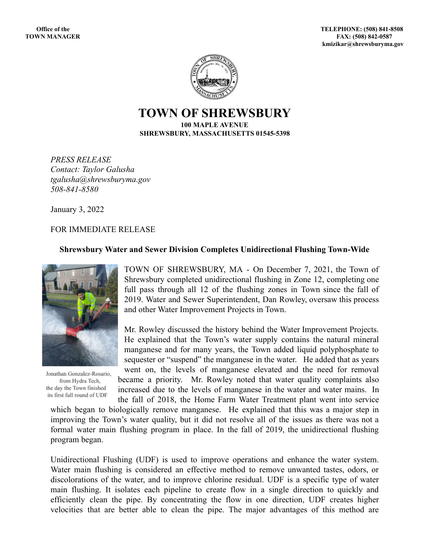

**TOWN OF SHREWSBURY 100 MAPLE AVENUE SHREWSBURY, MASSACHUSETTS 01545-5398**

*PRESS RELEASE Contact: Taylor Galusha tgalusha@shrewsburyma.gov 508-841-8580*

January 3, 2022

FOR IMMEDIATE RELEASE

## **Shrewsbury Water and Sewer Division Completes Unidirectional Flushing Town-Wide**



Jonathan Gonzalez-Rosario, from Hydra Tech, the day the Town finished its first full round of UDF

TOWN OF SHREWSBURY, MA - On December 7, 2021, the Town of Shrewsbury completed unidirectional flushing in Zone 12, completing one full pass through all 12 of the flushing zones in Town since the fall of 2019. Water and Sewer Superintendent, Dan Rowley, oversaw this process and other Water Improvement Projects in Town.

Mr. Rowley discussed the history behind the Water Improvement Projects. He explained that the Town's water supply contains the natural mineral manganese and for many years, the Town added liquid polyphosphate to sequester or "suspend" the manganese in the water. He added that as years went on, the levels of manganese elevated and the need for removal

became a priority. Mr. Rowley noted that water quality complaints also increased due to the levels of manganese in the water and water mains. In the fall of 2018, the Home Farm Water Treatment plant went into service

which began to biologically remove manganese. He explained that this was a major step in improving the Town's water quality, but it did not resolve all of the issues as there was not a formal water main flushing program in place. In the fall of 2019, the unidirectional flushing program began.

Unidirectional Flushing (UDF) is used to improve operations and enhance the water system. Water main flushing is considered an effective method to remove unwanted tastes, odors, or discolorations of the water, and to improve chlorine residual. UDF is a specific type of water main flushing. It isolates each pipeline to create flow in a single direction to quickly and efficiently clean the pipe. By concentrating the flow in one direction, UDF creates higher velocities that are better able to clean the pipe. The major advantages of this method are